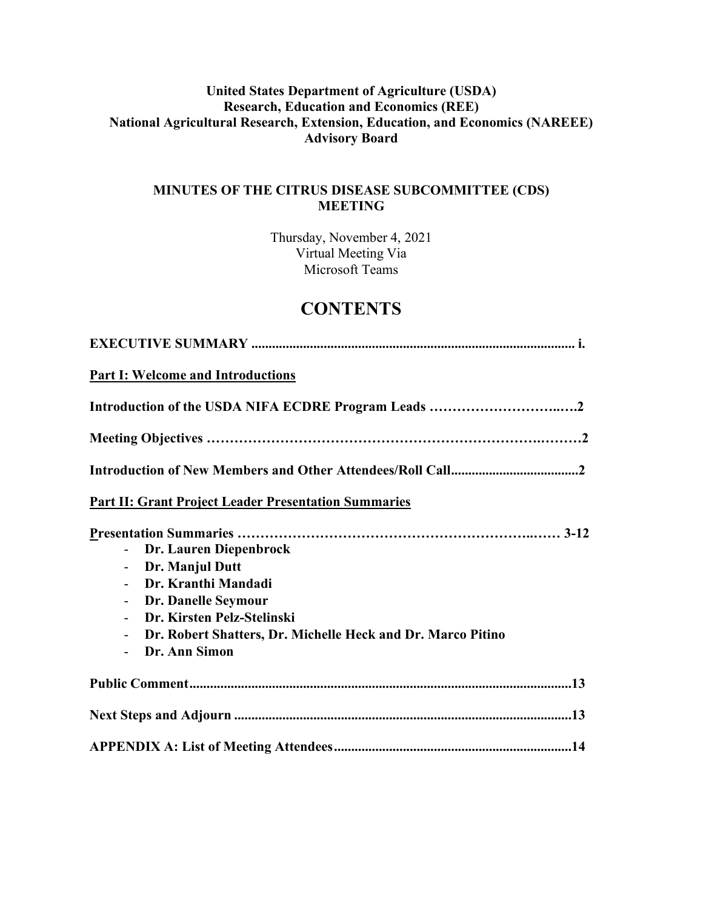# **United States Department of Agriculture (USDA) Research, Education and Economics (REE) National Agricultural Research, Extension, Education, and Economics (NAREEE) Advisory Board**

# **MINUTES OF THE CITRUS DISEASE SUBCOMMITTEE (CDS) MEETING**

Thursday, November 4, 2021 Virtual Meeting Via Microsoft Teams

# **CONTENTS**

| <b>Part I: Welcome and Introductions</b>                                                                                                                      |
|---------------------------------------------------------------------------------------------------------------------------------------------------------------|
|                                                                                                                                                               |
|                                                                                                                                                               |
|                                                                                                                                                               |
| <b>Part II: Grant Project Leader Presentation Summaries</b>                                                                                                   |
| Dr. Lauren Diepenbrock<br>Dr. Manjul Dutt<br>$\overline{\phantom{0}}$<br>Dr. Kranthi Mandadi                                                                  |
| Dr. Danelle Seymour<br>$\overline{\phantom{0}}$<br>Dr. Kirsten Pelz-Stelinski<br>Dr. Robert Shatters, Dr. Michelle Heck and Dr. Marco Pitino<br>Dr. Ann Simon |
|                                                                                                                                                               |
|                                                                                                                                                               |
|                                                                                                                                                               |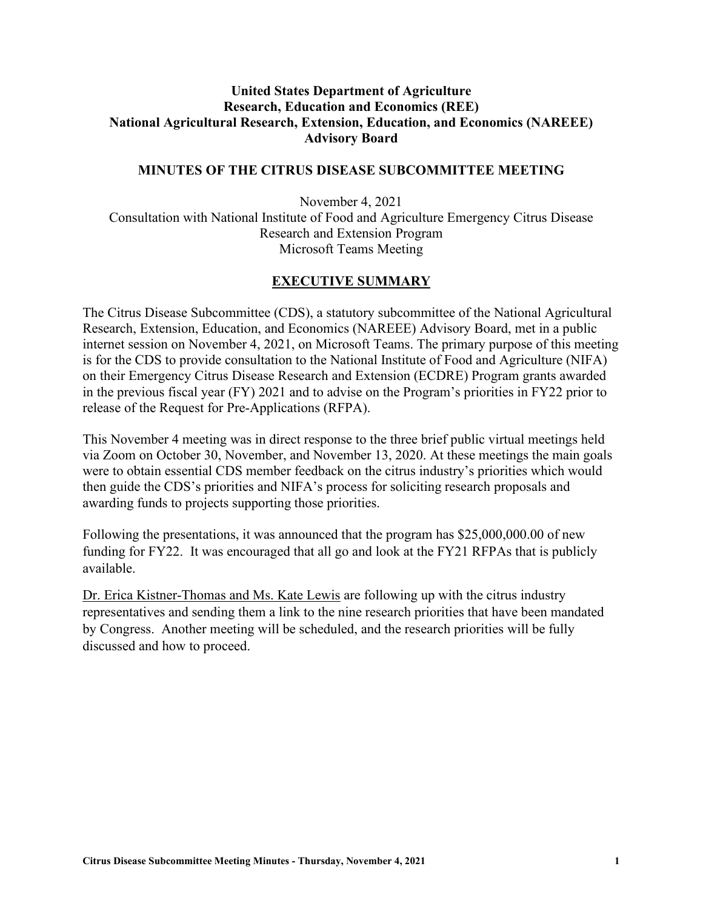# **United States Department of Agriculture Research, Education and Economics (REE) National Agricultural Research, Extension, Education, and Economics (NAREEE) Advisory Board**

#### **MINUTES OF THE CITRUS DISEASE SUBCOMMITTEE MEETING**

November 4, 2021 Consultation with National Institute of Food and Agriculture Emergency Citrus Disease Research and Extension Program Microsoft Teams Meeting

#### **EXECUTIVE SUMMARY**

The Citrus Disease Subcommittee (CDS), a statutory subcommittee of the National Agricultural Research, Extension, Education, and Economics (NAREEE) Advisory Board, met in a public internet session on November 4, 2021, on Microsoft Teams. The primary purpose of this meeting is for the CDS to provide consultation to the National Institute of Food and Agriculture (NIFA) on their Emergency Citrus Disease Research and Extension (ECDRE) Program grants awarded in the previous fiscal year (FY) 2021 and to advise on the Program's priorities in FY22 prior to release of the Request for Pre-Applications (RFPA).

This November 4 meeting was in direct response to the three brief public virtual meetings held via Zoom on October 30, November, and November 13, 2020. At these meetings the main goals were to obtain essential CDS member feedback on the citrus industry's priorities which would then guide the CDS's priorities and NIFA's process for soliciting research proposals and awarding funds to projects supporting those priorities.

Following the presentations, it was announced that the program has \$25,000,000.00 of new funding for FY22. It was encouraged that all go and look at the FY21 RFPAs that is publicly available.

Dr. Erica Kistner-Thomas and Ms. Kate Lewis are following up with the citrus industry representatives and sending them a link to the nine research priorities that have been mandated by Congress. Another meeting will be scheduled, and the research priorities will be fully discussed and how to proceed.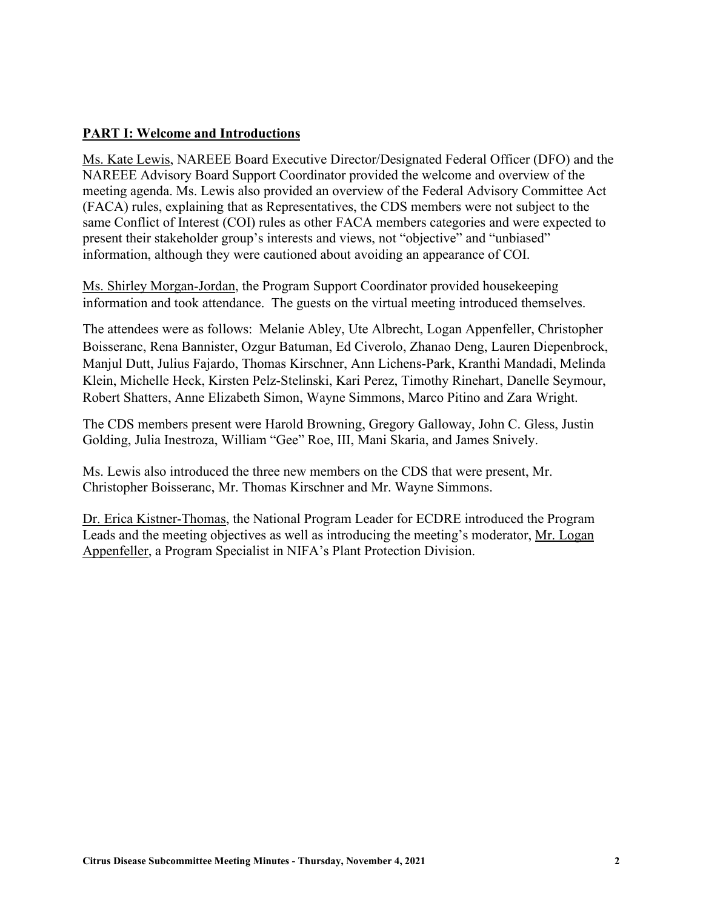### **PART I: Welcome and Introductions**

Ms. Kate Lewis, NAREEE Board Executive Director/Designated Federal Officer (DFO) and the NAREEE Advisory Board Support Coordinator provided the welcome and overview of the meeting agenda. Ms. Lewis also provided an overview of the Federal Advisory Committee Act (FACA) rules, explaining that as Representatives, the CDS members were not subject to the same Conflict of Interest (COI) rules as other FACA members categories and were expected to present their stakeholder group's interests and views, not "objective" and "unbiased" information, although they were cautioned about avoiding an appearance of COI.

Ms. Shirley Morgan-Jordan, the Program Support Coordinator provided housekeeping information and took attendance. The guests on the virtual meeting introduced themselves.

The attendees were as follows: Melanie Abley, Ute Albrecht, Logan Appenfeller, Christopher Boisseranc, Rena Bannister, Ozgur Batuman, Ed Civerolo, Zhanao Deng, Lauren Diepenbrock, Manjul Dutt, Julius Fajardo, Thomas Kirschner, Ann Lichens-Park, Kranthi Mandadi, Melinda Klein, Michelle Heck, Kirsten Pelz-Stelinski, Kari Perez, Timothy Rinehart, Danelle Seymour, Robert Shatters, Anne Elizabeth Simon, Wayne Simmons, Marco Pitino and Zara Wright.

The CDS members present were Harold Browning, Gregory Galloway, John C. Gless, Justin Golding, Julia Inestroza, William "Gee" Roe, III, Mani Skaria, and James Snively.

Ms. Lewis also introduced the three new members on the CDS that were present, Mr. Christopher Boisseranc, Mr. Thomas Kirschner and Mr. Wayne Simmons.

Dr. Erica Kistner-Thomas, the National Program Leader for ECDRE introduced the Program Leads and the meeting objectives as well as introducing the meeting's moderator, Mr. Logan Appenfeller, a Program Specialist in NIFA's Plant Protection Division.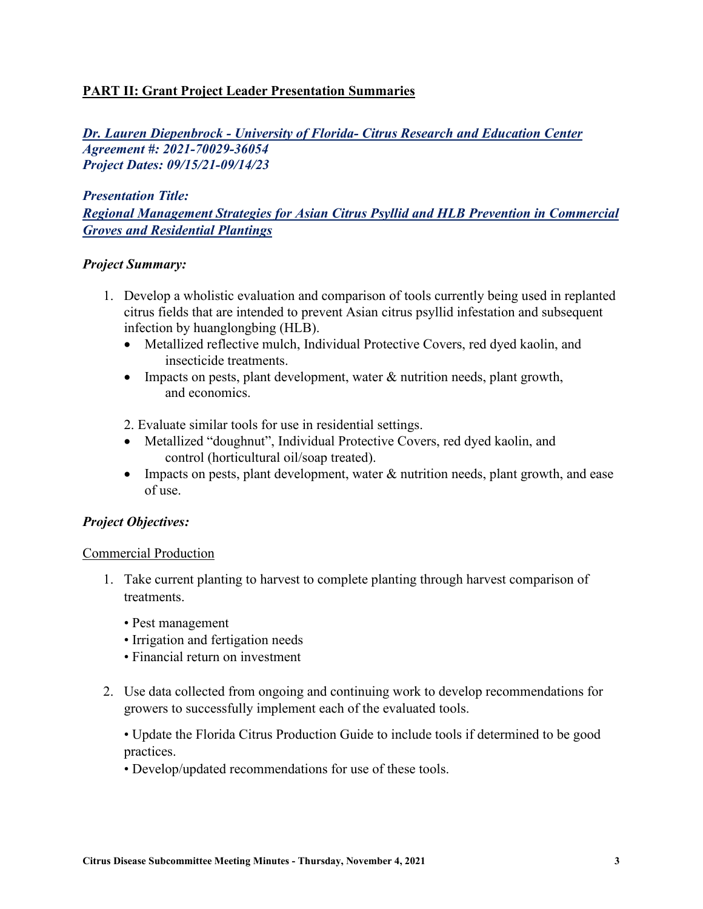# **PART II: Grant Project Leader Presentation Summaries**

*Dr. Lauren Diepenbrock - University of Florida- Citrus Research and Education Center Agreement #: 2021-70029-36054 Project Dates: 09/15/21-09/14/23*

*Presentation Title: Regional Management Strategies for Asian Citrus Psyllid and HLB Prevention in Commercial Groves and Residential Plantings*

#### *Project Summary:*

- 1. Develop a wholistic evaluation and comparison of tools currently being used in replanted citrus fields that are intended to prevent Asian citrus psyllid infestation and subsequent infection by huanglongbing (HLB).
	- Metallized reflective mulch, Individual Protective Covers, red dyed kaolin, and insecticide treatments.
	- Impacts on pests, plant development, water & nutrition needs, plant growth, and economics.
	- 2. Evaluate similar tools for use in residential settings.
	- Metallized "doughnut", Individual Protective Covers, red dyed kaolin, and control (horticultural oil/soap treated).
	- Impacts on pests, plant development, water  $\&$  nutrition needs, plant growth, and ease of use.

#### *Project Objectives:*

#### Commercial Production

- 1. Take current planting to harvest to complete planting through harvest comparison of treatments.
	- Pest management
	- Irrigation and fertigation needs
	- Financial return on investment
- 2. Use data collected from ongoing and continuing work to develop recommendations for growers to successfully implement each of the evaluated tools.

• Update the Florida Citrus Production Guide to include tools if determined to be good practices.

• Develop/updated recommendations for use of these tools.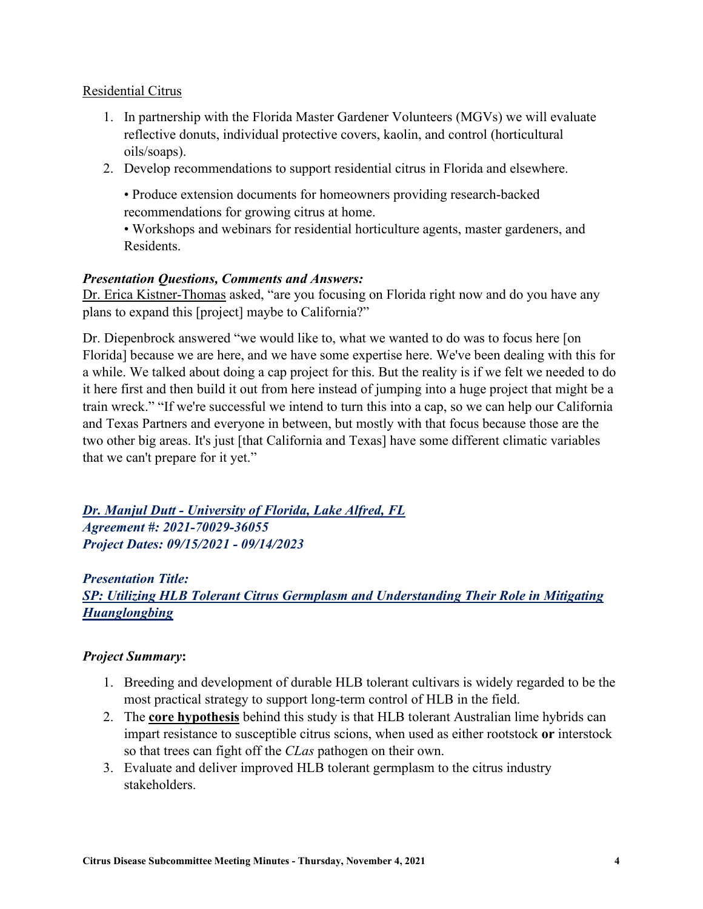#### Residential Citrus

- 1. In partnership with the Florida Master Gardener Volunteers (MGVs) we will evaluate reflective donuts, individual protective covers, kaolin, and control (horticultural oils/soaps).
- 2. Develop recommendations to support residential citrus in Florida and elsewhere.

• Produce extension documents for homeowners providing research-backed recommendations for growing citrus at home.

• Workshops and webinars for residential horticulture agents, master gardeners, and Residents.

### *Presentation Questions, Comments and Answers:*

Dr. Erica Kistner-Thomas asked, "are you focusing on Florida right now and do you have any plans to expand this [project] maybe to California?"

Dr. Diepenbrock answered "we would like to, what we wanted to do was to focus here [on Florida] because we are here, and we have some expertise here. We've been dealing with this for a while. We talked about doing a cap project for this. But the reality is if we felt we needed to do it here first and then build it out from here instead of jumping into a huge project that might be a train wreck." "If we're successful we intend to turn this into a cap, so we can help our California and Texas Partners and everyone in between, but mostly with that focus because those are the two other big areas. It's just [that California and Texas] have some different climatic variables that we can't prepare for it yet."

# *Dr. Manjul Dutt - University of Florida, Lake Alfred, FL Agreement #: 2021-70029-36055 Project Dates: 09/15/2021 - 09/14/2023*

*Presentation Title: SP: Utilizing HLB Tolerant Citrus Germplasm and Understanding Their Role in Mitigating Huanglongbing* 

# *Project Summary***:**

- 1. Breeding and development of durable HLB tolerant cultivars is widely regarded to be the most practical strategy to support long-term control of HLB in the field.
- 2. The **core hypothesis** behind this study is that HLB tolerant Australian lime hybrids can impart resistance to susceptible citrus scions, when used as either rootstock **or** interstock so that trees can fight off the *CLas* pathogen on their own.
- 3. Evaluate and deliver improved HLB tolerant germplasm to the citrus industry stakeholders.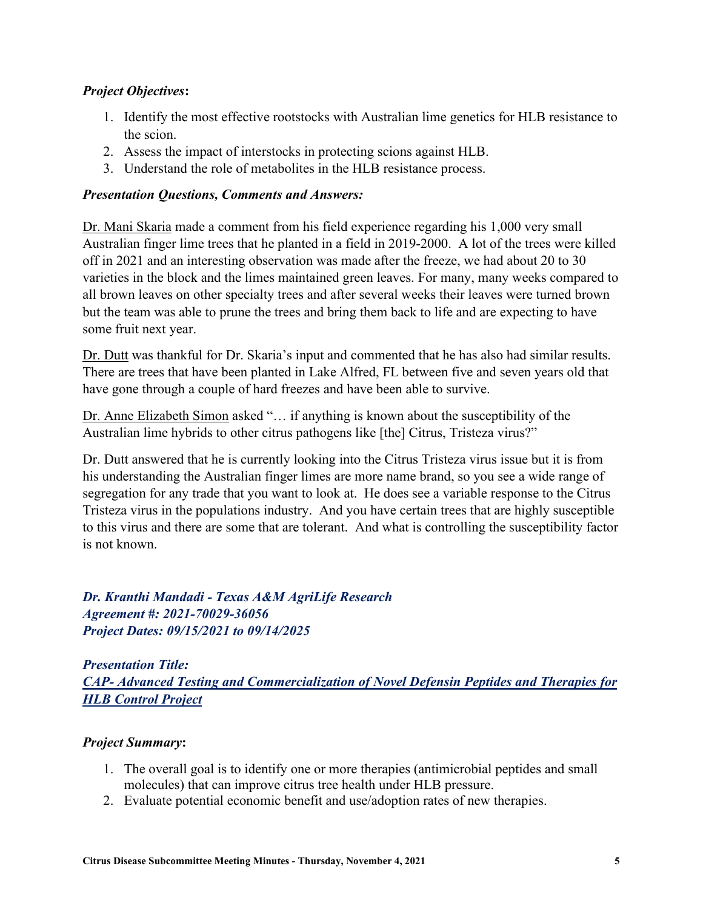# *Project Objectives***:**

- 1. Identify the most effective rootstocks with Australian lime genetics for HLB resistance to the scion.
- 2. Assess the impact of interstocks in protecting scions against HLB.
- 3. Understand the role of metabolites in the HLB resistance process.

#### *Presentation Questions, Comments and Answers:*

Dr. Mani Skaria made a comment from his field experience regarding his 1,000 very small Australian finger lime trees that he planted in a field in 2019-2000. A lot of the trees were killed off in 2021 and an interesting observation was made after the freeze, we had about 20 to 30 varieties in the block and the limes maintained green leaves. For many, many weeks compared to all brown leaves on other specialty trees and after several weeks their leaves were turned brown but the team was able to prune the trees and bring them back to life and are expecting to have some fruit next year.

Dr. Dutt was thankful for Dr. Skaria's input and commented that he has also had similar results. There are trees that have been planted in Lake Alfred, FL between five and seven years old that have gone through a couple of hard freezes and have been able to survive.

Dr. Anne Elizabeth Simon asked "… if anything is known about the susceptibility of the Australian lime hybrids to other citrus pathogens like [the] Citrus, Tristeza virus?"

Dr. Dutt answered that he is currently looking into the Citrus Tristeza virus issue but it is from his understanding the Australian finger limes are more name brand, so you see a wide range of segregation for any trade that you want to look at. He does see a variable response to the Citrus Tristeza virus in the populations industry. And you have certain trees that are highly susceptible to this virus and there are some that are tolerant. And what is controlling the susceptibility factor is not known.

*Dr. Kranthi Mandadi - Texas A&M AgriLife Research Agreement #: 2021-70029-36056 Project Dates: 09/15/2021 to 09/14/2025*

*Presentation Title: CAP- Advanced Testing and Commercialization of Novel Defensin Peptides and Therapies for HLB Control Project* 

#### *Project Summary***:**

- 1. The overall goal is to identify one or more therapies (antimicrobial peptides and small molecules) that can improve citrus tree health under HLB pressure.
- 2. Evaluate potential economic benefit and use/adoption rates of new therapies.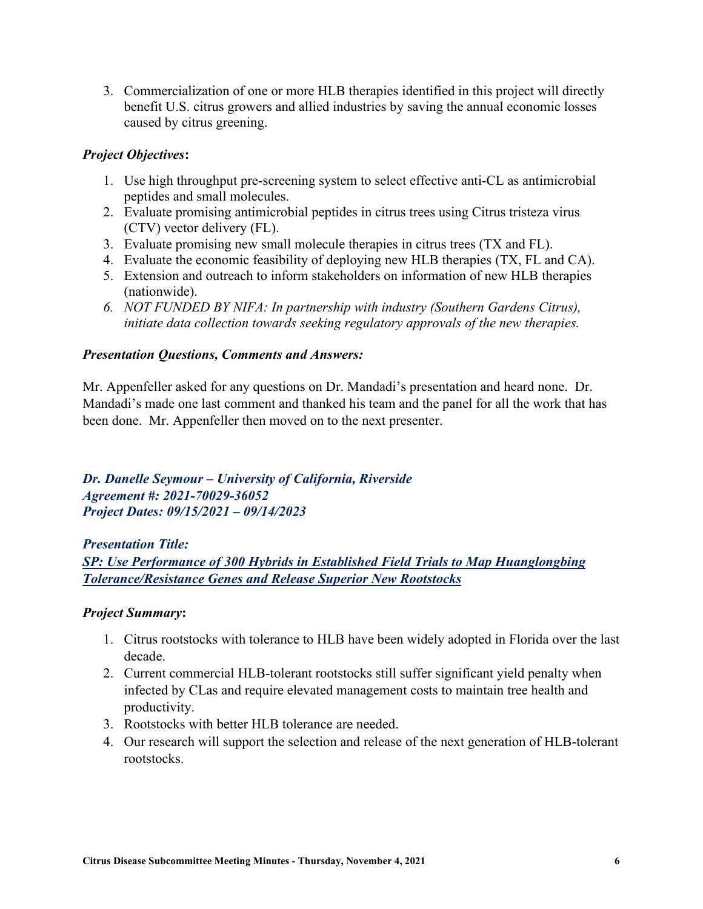3. Commercialization of one or more HLB therapies identified in this project will directly benefit U.S. citrus growers and allied industries by saving the annual economic losses caused by citrus greening.

# *Project Objectives***:**

- 1. Use high throughput pre-screening system to select effective anti-CL as antimicrobial peptides and small molecules.
- 2. Evaluate promising antimicrobial peptides in citrus trees using Citrus tristeza virus (CTV) vector delivery (FL).
- 3. Evaluate promising new small molecule therapies in citrus trees (TX and FL).
- 4. Evaluate the economic feasibility of deploying new HLB therapies (TX, FL and CA).
- 5. Extension and outreach to inform stakeholders on information of new HLB therapies (nationwide).
- *6. NOT FUNDED BY NIFA: In partnership with industry (Southern Gardens Citrus), initiate data collection towards seeking regulatory approvals of the new therapies.*

### *Presentation Questions, Comments and Answers:*

Mr. Appenfeller asked for any questions on Dr. Mandadi's presentation and heard none. Dr. Mandadi's made one last comment and thanked his team and the panel for all the work that has been done. Mr. Appenfeller then moved on to the next presenter.

*Dr. Danelle Seymour – University of California, Riverside Agreement #: 2021-70029-36052 Project Dates: 09/15/2021 – 09/14/2023*

*Presentation Title: SP: Use Performance of 300 Hybrids in Established Field Trials to Map Huanglongbing Tolerance/Resistance Genes and Release Superior New Rootstocks*

#### *Project Summary***:**

- 1. Citrus rootstocks with tolerance to HLB have been widely adopted in Florida over the last decade.
- 2. Current commercial HLB-tolerant rootstocks still suffer significant yield penalty when infected by CLas and require elevated management costs to maintain tree health and productivity.
- 3. Rootstocks with better HLB tolerance are needed.
- 4. Our research will support the selection and release of the next generation of HLB-tolerant rootstocks.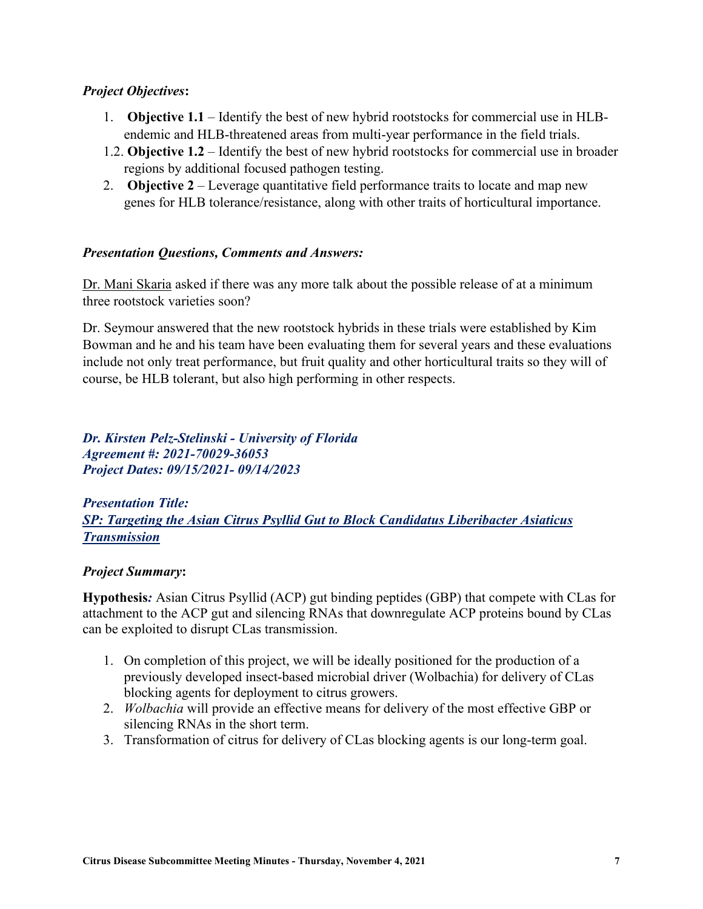#### *Project Objectives***:**

- 1. **Objective 1.1** Identify the best of new hybrid rootstocks for commercial use in HLBendemic and HLB-threatened areas from multi-year performance in the field trials.
- 1.2. **Objective 1.2** Identify the best of new hybrid rootstocks for commercial use in broader regions by additional focused pathogen testing.
- 2. **Objective 2** Leverage quantitative field performance traits to locate and map new genes for HLB tolerance/resistance, along with other traits of horticultural importance.

### *Presentation Questions, Comments and Answers:*

Dr. Mani Skaria asked if there was any more talk about the possible release of at a minimum three rootstock varieties soon?

Dr. Seymour answered that the new rootstock hybrids in these trials were established by Kim Bowman and he and his team have been evaluating them for several years and these evaluations include not only treat performance, but fruit quality and other horticultural traits so they will of course, be HLB tolerant, but also high performing in other respects.

*Dr. Kirsten Pelz-Stelinski - University of Florida Agreement #: 2021-70029-36053 Project Dates: 09/15/2021- 09/14/2023*

*Presentation Title: SP: Targeting the Asian Citrus Psyllid Gut to Block Candidatus Liberibacter Asiaticus Transmission*

#### *Project Summary***:**

**Hypothesis***:* Asian Citrus Psyllid (ACP) gut binding peptides (GBP) that compete with CLas for attachment to the ACP gut and silencing RNAs that downregulate ACP proteins bound by CLas can be exploited to disrupt CLas transmission.

- 1. On completion of this project, we will be ideally positioned for the production of a previously developed insect-based microbial driver (Wolbachia) for delivery of CLas blocking agents for deployment to citrus growers.
- 2. *Wolbachia* will provide an effective means for delivery of the most effective GBP or silencing RNAs in the short term.
- 3. Transformation of citrus for delivery of CLas blocking agents is our long-term goal.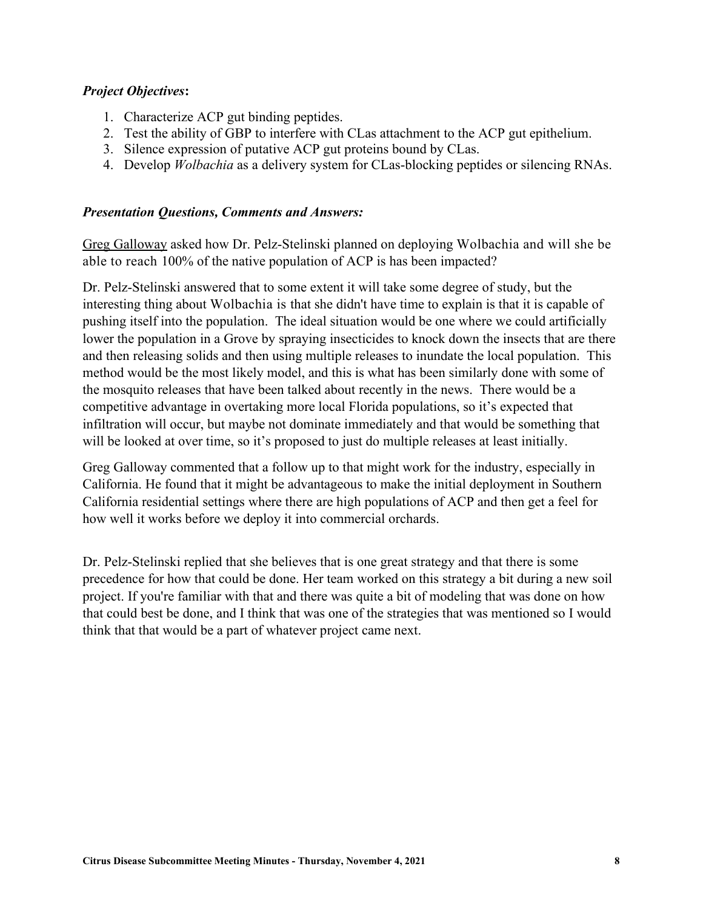### *Project Objectives***:**

- 1. Characterize ACP gut binding peptides.
- 2. Test the ability of GBP to interfere with CLas attachment to the ACP gut epithelium.
- 3. Silence expression of putative ACP gut proteins bound by CLas.
- 4. Develop *Wolbachia* as a delivery system for CLas-blocking peptides or silencing RNAs.

#### *Presentation Questions, Comments and Answers:*

Greg Galloway asked how Dr. Pelz-Stelinski planned on deploying Wolbachia and will she be able to reach 100% of the native population of ACP is has been impacted?

Dr. Pelz-Stelinski answered that to some extent it will take some degree of study, but the interesting thing about Wolbachia is that she didn't have time to explain is that it is capable of pushing itself into the population. The ideal situation would be one where we could artificially lower the population in a Grove by spraying insecticides to knock down the insects that are there and then releasing solids and then using multiple releases to inundate the local population. This method would be the most likely model, and this is what has been similarly done with some of the mosquito releases that have been talked about recently in the news. There would be a competitive advantage in overtaking more local Florida populations, so it's expected that infiltration will occur, but maybe not dominate immediately and that would be something that will be looked at over time, so it's proposed to just do multiple releases at least initially.

Greg Galloway commented that a follow up to that might work for the industry, especially in California. He found that it might be advantageous to make the initial deployment in Southern California residential settings where there are high populations of ACP and then get a feel for how well it works before we deploy it into commercial orchards.

Dr. Pelz-Stelinski replied that she believes that is one great strategy and that there is some precedence for how that could be done. Her team worked on this strategy a bit during a new soil project. If you're familiar with that and there was quite a bit of modeling that was done on how that could best be done, and I think that was one of the strategies that was mentioned so I would think that that would be a part of whatever project came next.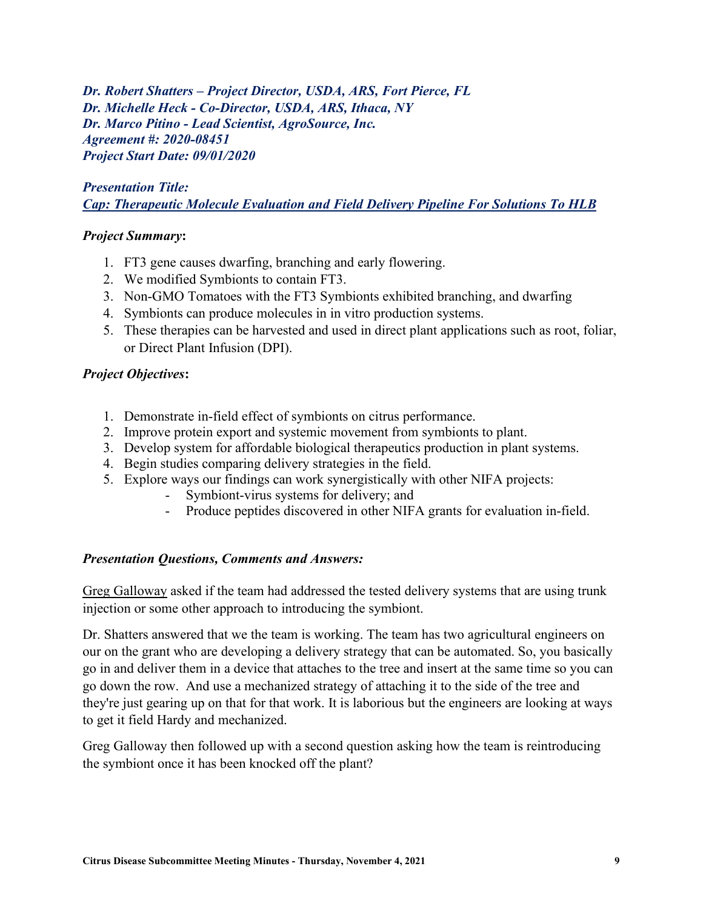*Dr. Robert Shatters – Project Director, USDA, ARS, Fort Pierce, FL Dr. Michelle Heck - Co-Director, USDA, ARS, Ithaca, NY Dr. Marco Pitino - Lead Scientist, AgroSource, Inc. Agreement #: 2020-08451 Project Start Date: 09/01/2020*

# *Presentation Title: Cap: Therapeutic Molecule Evaluation and Field Delivery Pipeline For Solutions To HLB*

### *Project Summary***:**

- 1. FT3 gene causes dwarfing, branching and early flowering.
- 2. We modified Symbionts to contain FT3.
- 3. Non-GMO Tomatoes with the FT3 Symbionts exhibited branching, and dwarfing
- 4. Symbionts can produce molecules in in vitro production systems.
- 5. These therapies can be harvested and used in direct plant applications such as root, foliar, or Direct Plant Infusion (DPI).

### *Project Objectives***:**

- 1. Demonstrate in-field effect of symbionts on citrus performance.
- 2. Improve protein export and systemic movement from symbionts to plant.
- 3. Develop system for affordable biological therapeutics production in plant systems.
- 4. Begin studies comparing delivery strategies in the field.
- 5. Explore ways our findings can work synergistically with other NIFA projects:
	- Symbiont-virus systems for delivery; and
	- Produce peptides discovered in other NIFA grants for evaluation in-field.

#### *Presentation Questions, Comments and Answers:*

Greg Galloway asked if the team had addressed the tested delivery systems that are using trunk injection or some other approach to introducing the symbiont.

Dr. Shatters answered that we the team is working. The team has two agricultural engineers on our on the grant who are developing a delivery strategy that can be automated. So, you basically go in and deliver them in a device that attaches to the tree and insert at the same time so you can go down the row. And use a mechanized strategy of attaching it to the side of the tree and they're just gearing up on that for that work. It is laborious but the engineers are looking at ways to get it field Hardy and mechanized.

Greg Galloway then followed up with a second question asking how the team is reintroducing the symbiont once it has been knocked off the plant?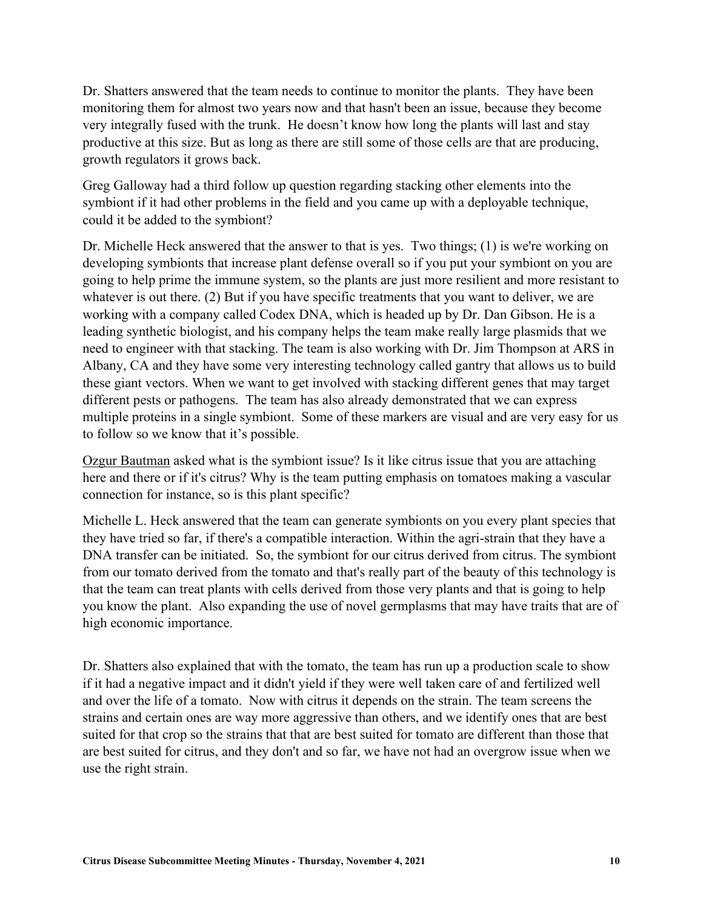Dr. Shatters answered that the team needs to continue to monitor the plants. They have been monitoring them for almost two years now and that hasn't been an issue, because they become very integrally fused with the trunk. He doesn't know how long the plants will last and stay productive at this size. But as long as there are still some of those cells are that are producing, growth regulators it grows back.

Greg Galloway had a third follow up question regarding stacking other elements into the symbiont if it had other problems in the field and you came up with a deployable technique, could it be added to the symbiont?

Dr. Michelle Heck answered that the answer to that is yes. Two things; (1) is we're working on developing symbionts that increase plant defense overall so if you put your symbiont on you are going to help prime the immune system, so the plants are just more resilient and more resistant to whatever is out there. (2) But if you have specific treatments that you want to deliver, we are working with a company called Codex DNA, which is headed up by Dr. Dan Gibson. He is a leading synthetic biologist, and his company helps the team make really large plasmids that we need to engineer with that stacking. The team is also working with Dr. Jim Thompson at ARS in Albany, CA and they have some very interesting technology called gantry that allows us to build these giant vectors. When we want to get involved with stacking different genes that may target different pests or pathogens. The team has also already demonstrated that we can express multiple proteins in a single symbiont. Some of these markers are visual and are very easy for us to follow so we know that it's possible.

Ozgur Bautman asked what is the symbiont issue? Is it like citrus issue that you are attaching here and there or if it's citrus? Why is the team putting emphasis on tomatoes making a vascular connection for instance, so is this plant specific?

Michelle L. Heck answered that the team can generate symbionts on you every plant species that they have tried so far, if there's a compatible interaction. Within the agri-strain that they have a DNA transfer can be initiated. So, the symbiont for our citrus derived from citrus. The symbiont from our tomato derived from the tomato and that's really part of the beauty of this technology is that the team can treat plants with cells derived from those very plants and that is going to help you know the plant. Also expanding the use of novel germplasms that may have traits that are of high economic importance.

Dr. Shatters also explained that with the tomato, the team has run up a production scale to show if it had a negative impact and it didn't yield if they were well taken care of and fertilized well and over the life of a tomato. Now with citrus it depends on the strain. The team screens the strains and certain ones are way more aggressive than others, and we identify ones that are best suited for that crop so the strains that that are best suited for tomato are different than those that are best suited for citrus, and they don't and so far, we have not had an overgrow issue when we use the right strain.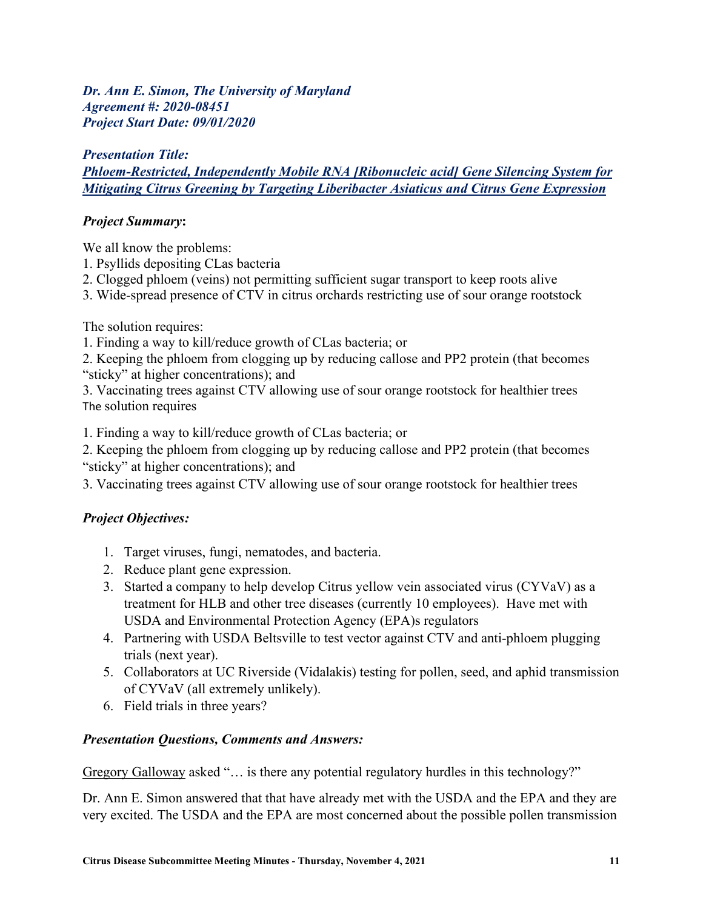*Dr. Ann E. Simon, The University of Maryland Agreement #: 2020-08451 Project Start Date: 09/01/2020*

# *Presentation Title: Phloem-Restricted, Independently Mobile RNA [Ribonucleic acid] Gene Silencing System for Mitigating Citrus Greening by Targeting Liberibacter Asiaticus and Citrus Gene Expression*

# *Project Summary***:**

We all know the problems:

- 1. Psyllids depositing CLas bacteria
- 2. Clogged phloem (veins) not permitting sufficient sugar transport to keep roots alive
- 3. Wide-spread presence of CTV in citrus orchards restricting use of sour orange rootstock

The solution requires:

- 1. Finding a way to kill/reduce growth of CLas bacteria; or
- 2. Keeping the phloem from clogging up by reducing callose and PP2 protein (that becomes "sticky" at higher concentrations); and
- 3. Vaccinating trees against CTV allowing use of sour orange rootstock for healthier trees The solution requires

1. Finding a way to kill/reduce growth of CLas bacteria; or

2. Keeping the phloem from clogging up by reducing callose and PP2 protein (that becomes "sticky" at higher concentrations); and

3. Vaccinating trees against CTV allowing use of sour orange rootstock for healthier trees

# *Project Objectives:*

- 1. Target viruses, fungi, nematodes, and bacteria.
- 2. Reduce plant gene expression.
- 3. Started a company to help develop Citrus yellow vein associated virus (CYVaV) as a treatment for HLB and other tree diseases (currently 10 employees). Have met with USDA and Environmental Protection Agency (EPA)s regulators
- 4. Partnering with USDA Beltsville to test vector against CTV and anti-phloem plugging trials (next year).
- 5. Collaborators at UC Riverside (Vidalakis) testing for pollen, seed, and aphid transmission of CYVaV (all extremely unlikely).
- 6. Field trials in three years?

# *Presentation Questions, Comments and Answers:*

Gregory Galloway asked "… is there any potential regulatory hurdles in this technology?"

Dr. Ann E. Simon answered that that have already met with the USDA and the EPA and they are very excited. The USDA and the EPA are most concerned about the possible pollen transmission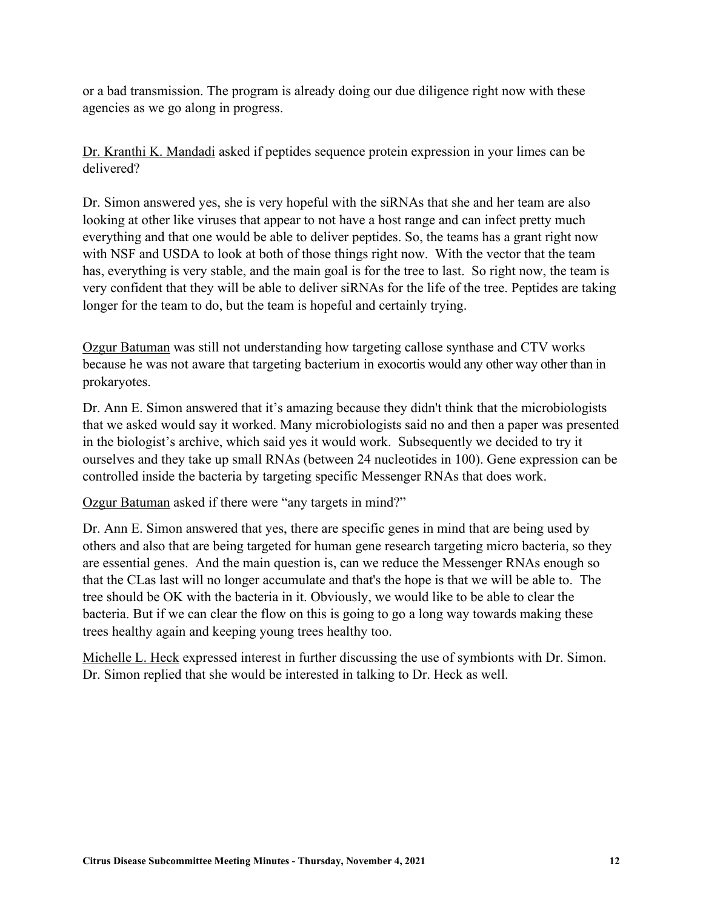or a bad transmission. The program is already doing our due diligence right now with these agencies as we go along in progress.

Dr. Kranthi K. Mandadi asked if peptides sequence protein expression in your limes can be delivered?

Dr. Simon answered yes, she is very hopeful with the siRNAs that she and her team are also looking at other like viruses that appear to not have a host range and can infect pretty much everything and that one would be able to deliver peptides. So, the teams has a grant right now with NSF and USDA to look at both of those things right now. With the vector that the team has, everything is very stable, and the main goal is for the tree to last. So right now, the team is very confident that they will be able to deliver siRNAs for the life of the tree. Peptides are taking longer for the team to do, but the team is hopeful and certainly trying.

Ozgur Batuman was still not understanding how targeting callose synthase and CTV works because he was not aware that targeting bacterium in exocortis would any other way other than in prokaryotes.

Dr. Ann E. Simon answered that it's amazing because they didn't think that the microbiologists that we asked would say it worked. Many microbiologists said no and then a paper was presented in the biologist's archive, which said yes it would work. Subsequently we decided to try it ourselves and they take up small RNAs (between 24 nucleotides in 100). Gene expression can be controlled inside the bacteria by targeting specific Messenger RNAs that does work.

Ozgur Batuman asked if there were "any targets in mind?"

Dr. Ann E. Simon answered that yes, there are specific genes in mind that are being used by others and also that are being targeted for human gene research targeting micro bacteria, so they are essential genes. And the main question is, can we reduce the Messenger RNAs enough so that the CLas last will no longer accumulate and that's the hope is that we will be able to. The tree should be OK with the bacteria in it. Obviously, we would like to be able to clear the bacteria. But if we can clear the flow on this is going to go a long way towards making these trees healthy again and keeping young trees healthy too.

Michelle L. Heck expressed interest in further discussing the use of symbionts with Dr. Simon. Dr. Simon replied that she would be interested in talking to Dr. Heck as well.